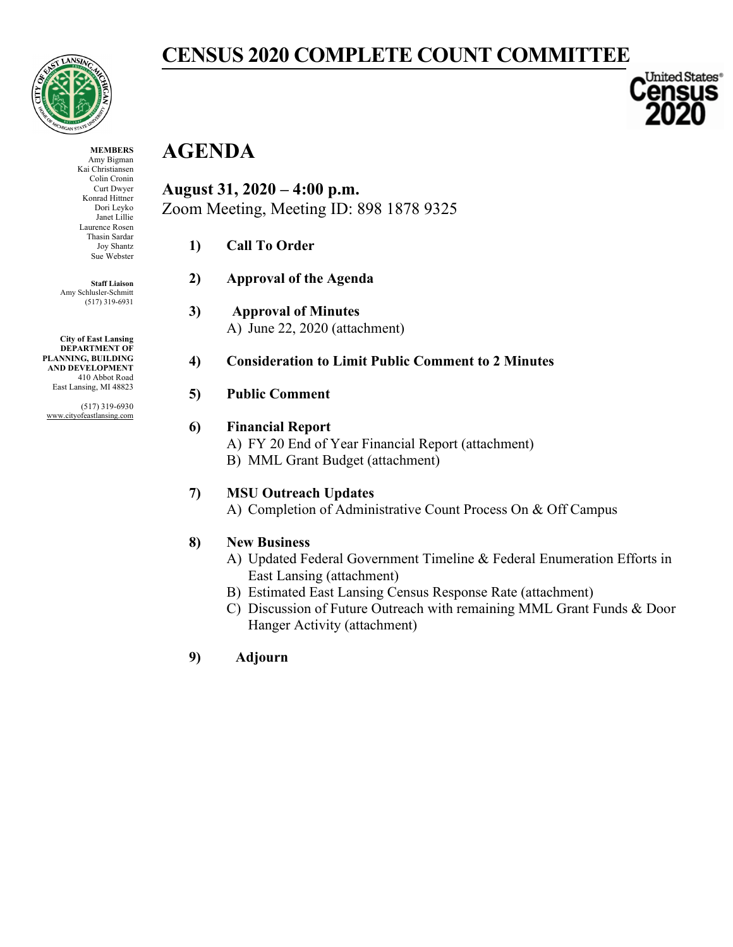

**CENSUS 2020 COMPLETE COUNT COMMITTEE**

#### **MEMBERS**

Amy Bigman Kai Christiansen Colin Cronin Curt Dwyer Konrad Hittner Dori Leyko Janet Lillie Laurence Rosen Thasin Sardar Joy Shantz Sue Webster

**Staff Liaison** Amy Schlusler-Schmitt (517) 319-6931

**City of East Lansing DEPARTMENT OF PLANNING, BUILDING AND DEVELOPMENT** 410 Abbot Road East Lansing, MI 48823

(517) 319-6930 www.cityofeastlansing.com

## **AGENDA August 31, 2020 – 4:00 p.m.** Zoom Meeting, Meeting ID: 898 1878 9325

- **1) Call To Order**
- **2) Approval of the Agenda**
- **3) Approval of Minutes** A) June 22, 2020 (attachment)
- **4) Consideration to Limit Public Comment to 2 Minutes**

#### **5) Public Comment**

#### **6) Financial Report**

- A) FY 20 End of Year Financial Report (attachment)
- B) MML Grant Budget (attachment)

#### **7) MSU Outreach Updates**

A) Completion of Administrative Count Process On & Off Campus

#### **8) New Business**

- A) Updated Federal Government Timeline & Federal Enumeration Efforts in East Lansing (attachment)
- B) Estimated East Lansing Census Response Rate (attachment)
- C) Discussion of Future Outreach with remaining MML Grant Funds & Door Hanger Activity (attachment)

**9) Adjourn** 

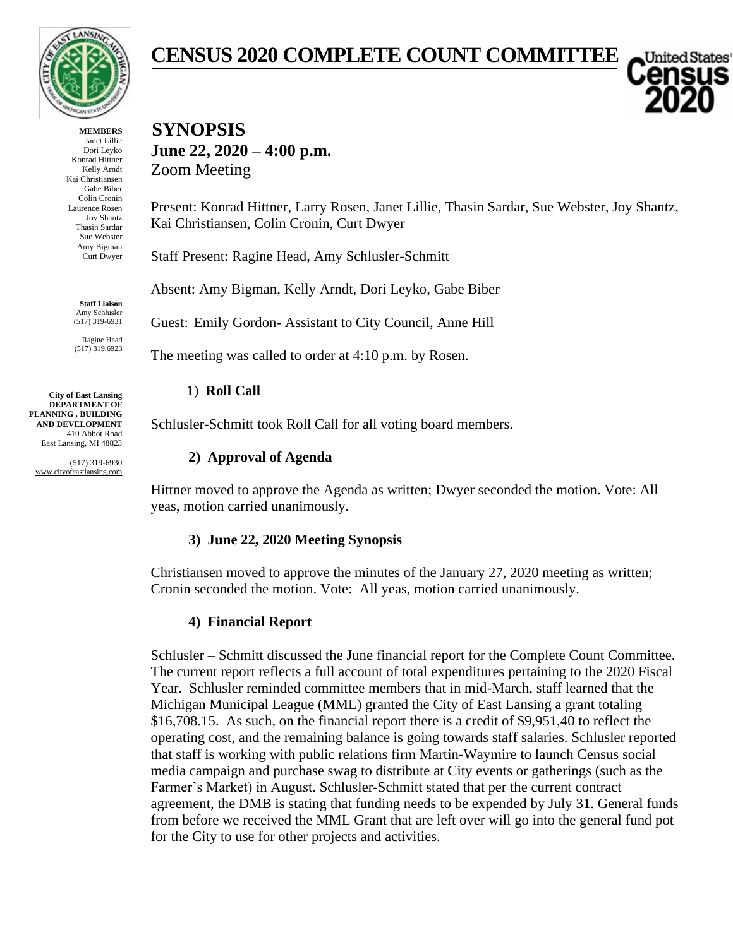

**MEMBERS** Janet Lillie Dori Leyko Konrad Hittner Kelly Arndt Kai Christiansen Gabe Biber Colin Cronin Laurence Rosen Joy Shantz Thasin Sardar Sue Webster Amy Bigman Curt Dwyer

> **Staff Liaison** Amy Schlusler (517) 319-6931

Ragine Head (517) 319.6923

**City of East Lansing DEPARTMENT OF PLANNING , BUILDING AND DEVELOPMENT** 410 Abbot Road East Lansing, MI 48823

(517) 319-6930 www.cityofeastlansing.com

## **CENSUS 2020 COMPLETE COUNT COMMITTEE**

 $\blacksquare$ United States

**SYNOPSIS June 22, 2020 – 4:00 p.m.** Zoom Meeting

Present: Konrad Hittner, Larry Rosen, Janet Lillie, Thasin Sardar, Sue Webster, Joy Shantz, Kai Christiansen, Colin Cronin, Curt Dwyer

Staff Present: Ragine Head, Amy Schlusler-Schmitt

Absent: Amy Bigman, Kelly Arndt, Dori Leyko, Gabe Biber

Guest: Emily Gordon- Assistant to City Council, Anne Hill

The meeting was called to order at 4:10 p.m. by Rosen.

#### **1**) **Roll Call**

Schlusler-Schmitt took Roll Call for all voting board members.

#### **2) Approval of Agenda**

Hittner moved to approve the Agenda as written; Dwyer seconded the motion. Vote: All yeas, motion carried unanimously.

#### **3) June 22, 2020 Meeting Synopsis**

Christiansen moved to approve the minutes of the January 27, 2020 meeting as written; Cronin seconded the motion. Vote: All yeas, motion carried unanimously.

#### **4) Financial Report**

Schlusler – Schmitt discussed the June financial report for the Complete Count Committee. The current report reflects a full account of total expenditures pertaining to the 2020 Fiscal Year. Schlusler reminded committee members that in mid-March, staff learned that the Michigan Municipal League (MML) granted the City of East Lansing a grant totaling \$16,708.15. As such, on the financial report there is a credit of \$9,951,40 to reflect the operating cost, and the remaining balance is going towards staff salaries. Schlusler reported that staff is working with public relations firm Martin-Waymire to launch Census social media campaign and purchase swag to distribute at City events or gatherings (such as the Farmer's Market) in August. Schlusler-Schmitt stated that per the current contract agreement, the DMB is stating that funding needs to be expended by July 31. General funds from before we received the MML Grant that are left over will go into the general fund pot for the City to use for other projects and activities.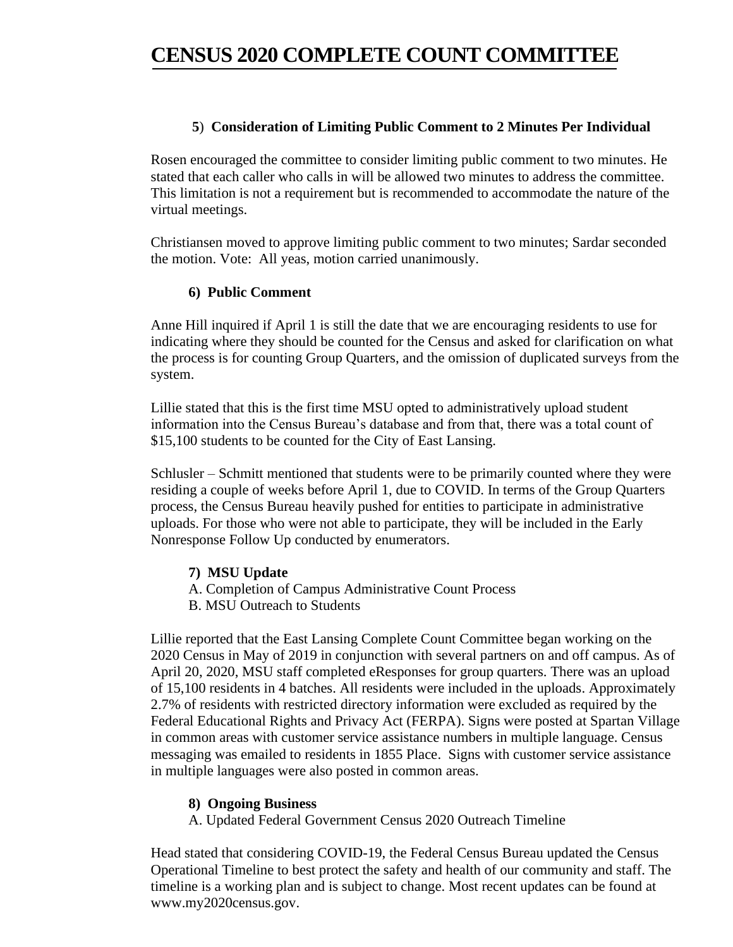## **CENSUS 2020 COMPLETE COUNT COMMITTEE**

#### **5**) **Consideration of Limiting Public Comment to 2 Minutes Per Individual**

Rosen encouraged the committee to consider limiting public comment to two minutes. He stated that each caller who calls in will be allowed two minutes to address the committee. This limitation is not a requirement but is recommended to accommodate the nature of the virtual meetings.

Christiansen moved to approve limiting public comment to two minutes; Sardar seconded the motion. Vote: All yeas, motion carried unanimously.

#### **6) Public Comment**

Anne Hill inquired if April 1 is still the date that we are encouraging residents to use for indicating where they should be counted for the Census and asked for clarification on what the process is for counting Group Quarters, and the omission of duplicated surveys from the system.

Lillie stated that this is the first time MSU opted to administratively upload student information into the Census Bureau's database and from that, there was a total count of \$15,100 students to be counted for the City of East Lansing.

Schlusler – Schmitt mentioned that students were to be primarily counted where they were residing a couple of weeks before April 1, due to COVID. In terms of the Group Quarters process, the Census Bureau heavily pushed for entities to participate in administrative uploads. For those who were not able to participate, they will be included in the Early Nonresponse Follow Up conducted by enumerators.

**7) MSU Update**

- A. Completion of Campus Administrative Count Process
- B. MSU Outreach to Students

Lillie reported that the East Lansing Complete Count Committee began working on the 2020 Census in May of 2019 in conjunction with several partners on and off campus. As of April 20, 2020, MSU staff completed eResponses for group quarters. There was an upload of 15,100 residents in 4 batches. All residents were included in the uploads. Approximately 2.7% of residents with restricted directory information were excluded as required by the Federal Educational Rights and Privacy Act (FERPA). Signs were posted at Spartan Village in common areas with customer service assistance numbers in multiple language. Census messaging was emailed to residents in 1855 Place. Signs with customer service assistance in multiple languages were also posted in common areas.

#### **8) Ongoing Business**

A. Updated Federal Government Census 2020 Outreach Timeline

Head stated that considering COVID-19, the Federal Census Bureau updated the Census Operational Timeline to best protect the safety and health of our community and staff. The timeline is a working plan and is subject to change. Most recent updates can be found at www.my2020census.gov.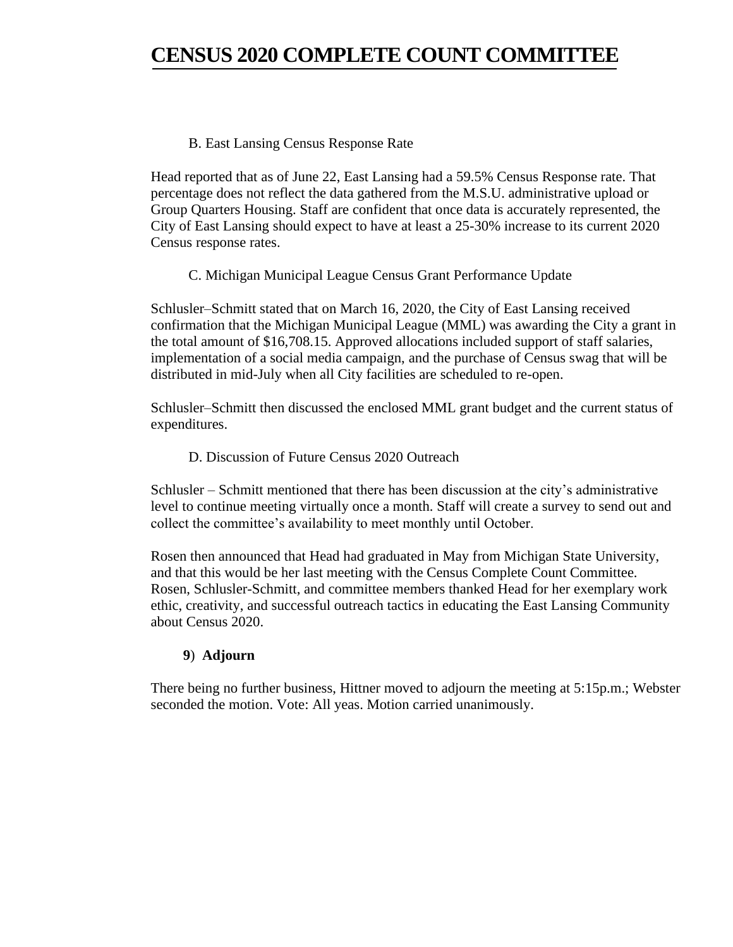## **CENSUS 2020 COMPLETE COUNT COMMITTEE**

#### B. East Lansing Census Response Rate

Head reported that as of June 22, East Lansing had a 59.5% Census Response rate. That percentage does not reflect the data gathered from the M.S.U. administrative upload or Group Quarters Housing. Staff are confident that once data is accurately represented, the City of East Lansing should expect to have at least a 25-30% increase to its current 2020 Census response rates.

#### C. Michigan Municipal League Census Grant Performance Update

Schlusler–Schmitt stated that on March 16, 2020, the City of East Lansing received confirmation that the Michigan Municipal League (MML) was awarding the City a grant in the total amount of \$16,708.15. Approved allocations included support of staff salaries, implementation of a social media campaign, and the purchase of Census swag that will be distributed in mid-July when all City facilities are scheduled to re-open.

Schlusler–Schmitt then discussed the enclosed MML grant budget and the current status of expenditures.

#### D. Discussion of Future Census 2020 Outreach

Schlusler – Schmitt mentioned that there has been discussion at the city's administrative level to continue meeting virtually once a month. Staff will create a survey to send out and collect the committee's availability to meet monthly until October.

Rosen then announced that Head had graduated in May from Michigan State University, and that this would be her last meeting with the Census Complete Count Committee. Rosen, Schlusler-Schmitt, and committee members thanked Head for her exemplary work ethic, creativity, and successful outreach tactics in educating the East Lansing Community about Census 2020.

#### **9**) **Adjourn**

There being no further business, Hittner moved to adjourn the meeting at 5:15p.m.; Webster seconded the motion. Vote: All yeas. Motion carried unanimously.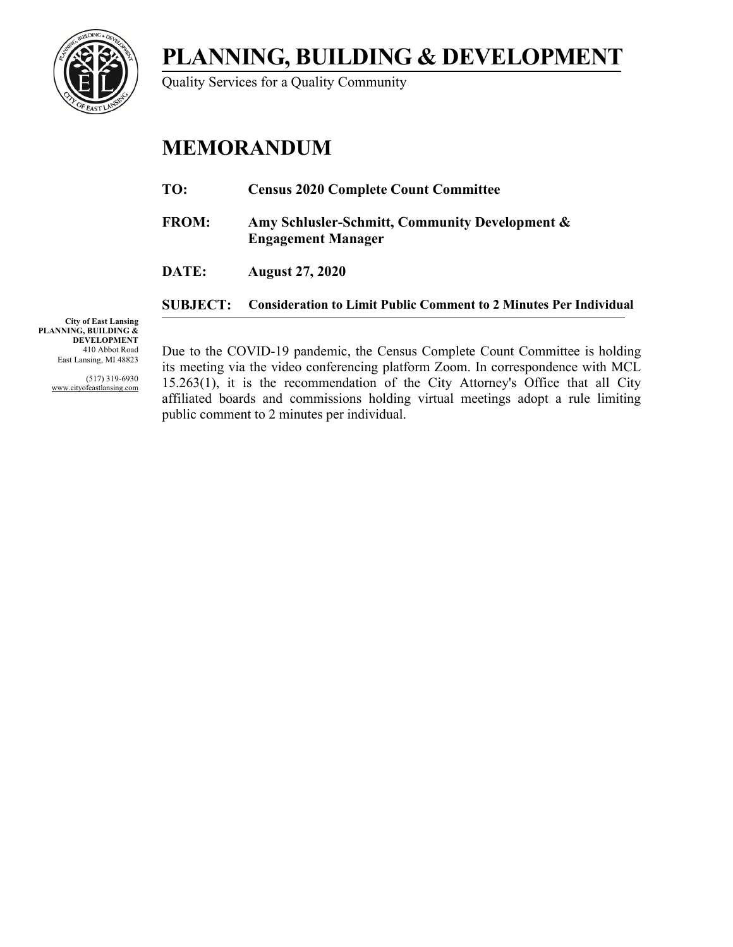

Quality Services for a Quality Community

## **MEMORANDUM**

| TO:             | <b>Census 2020 Complete Count Committee</b>                                 |
|-----------------|-----------------------------------------------------------------------------|
| <b>FROM:</b>    | Amy Schlusler-Schmitt, Community Development &<br><b>Engagement Manager</b> |
| DATE:           | <b>August 27, 2020</b>                                                      |
| <b>SUBJECT:</b> | <b>Consideration to Limit Public Comment to 2 Minutes Per Individual</b>    |

**City of East Lansing PLANNING, BUILDING & DEVELOPMENT** 410 Abbot Road East Lansing, MI 48823

> (517) 319-6930 www.cityofeastlansing.com

Due to the COVID-19 pandemic, the Census Complete Count Committee is holding its meeting via the video conferencing platform Zoom. In correspondence with MCL 15.263(1), it is the recommendation of the City Attorney's Office that all City affiliated boards and commissions holding virtual meetings adopt a rule limiting public comment to 2 minutes per individual.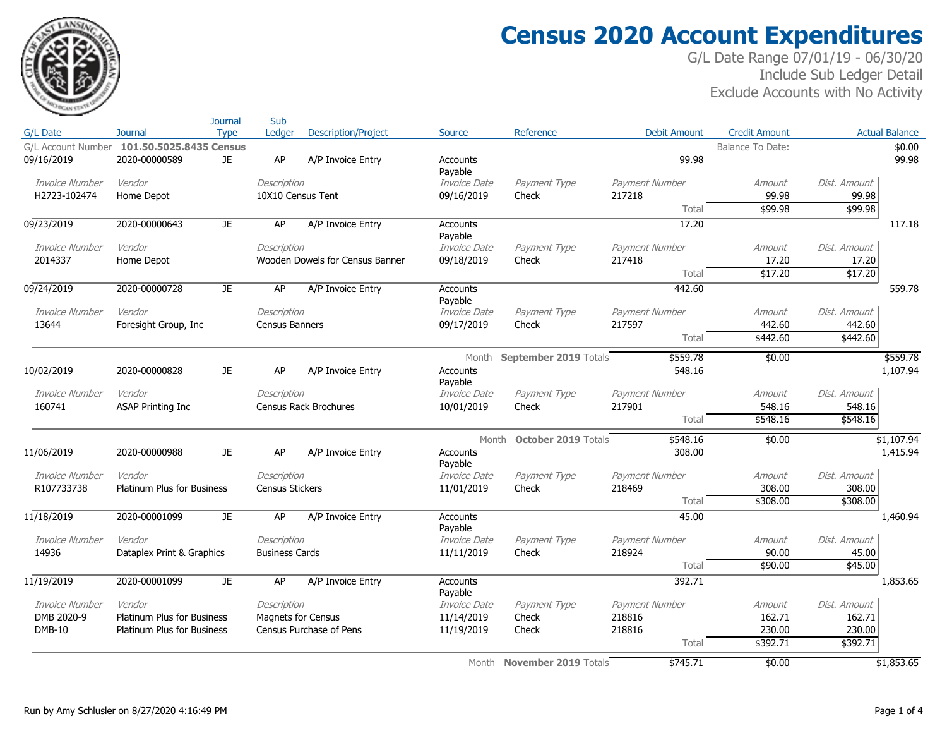

S<sub>n</sub>

## **Census 2020 Account Expenditures**

|                       |                                            | Journal     | Sub                                  |                                 |                            |                            |                          |                         |                        |                       |
|-----------------------|--------------------------------------------|-------------|--------------------------------------|---------------------------------|----------------------------|----------------------------|--------------------------|-------------------------|------------------------|-----------------------|
| G/L Date              | <b>Journal</b>                             | <b>Type</b> | Ledger                               | <b>Description/Project</b>      | Source                     | Reference                  | Debit Amount             | <b>Credit Amount</b>    |                        | <b>Actual Balance</b> |
|                       | G/L Account Number 101.50.5025.8435 Census |             |                                      |                                 |                            |                            |                          | <b>Balance To Date:</b> |                        | \$0.00                |
| 09/16/2019            | 2020-00000589                              | JE.         | AP                                   | A/P Invoice Entry               | Accounts                   |                            | 99.98                    |                         |                        | 99.98                 |
|                       |                                            |             |                                      |                                 | Payable                    |                            |                          |                         |                        |                       |
| <b>Invoice Number</b> | Vendor                                     |             | Description                          |                                 | Invoice Date               | Payment Type               | Payment Number           | Amount                  | Dist, Amount           |                       |
| H2723-102474          | Home Depot                                 |             | 10X10 Census Tent                    |                                 | 09/16/2019                 | Check                      | 217218                   | 99.98                   | 99.98                  |                       |
|                       |                                            |             |                                      |                                 |                            |                            | Total                    | \$99.98                 | \$99.98                |                       |
| 09/23/2019            | 2020-00000643                              | JE.         | AP                                   | A/P Invoice Entry               | <b>Accounts</b>            |                            | 17.20                    |                         |                        | 117.18                |
|                       |                                            |             |                                      |                                 | Payable                    |                            |                          |                         |                        |                       |
| Invoice Number        | Vendor                                     |             | Description                          |                                 | Invoice Date               | Payment Type               | Payment Number           | Amount                  | Dist, Amount           |                       |
| 2014337               | Home Depot                                 |             |                                      | Wooden Dowels for Census Banner | 09/18/2019                 | Check                      | 217418                   | 17.20                   | 17.20                  |                       |
|                       |                                            |             |                                      |                                 |                            |                            | Total                    | \$17.20                 | \$17.20                |                       |
| 09/24/2019            | 2020-00000728                              | JE.         | AP                                   | A/P Invoice Entry               | <b>Accounts</b>            |                            | 442.60                   |                         |                        | 559.78                |
| <b>Invoice Number</b> | Vendor                                     |             |                                      |                                 | Payable                    |                            |                          |                         |                        |                       |
| 13644                 |                                            |             | Description<br><b>Census Banners</b> |                                 | Invoice Date<br>09/17/2019 | Payment Type<br>Check      | Payment Number<br>217597 | Amount<br>442.60        | Dist. Amount<br>442.60 |                       |
|                       | Foresight Group, Inc.                      |             |                                      |                                 |                            |                            | Total                    | \$442.60                | \$442.60               |                       |
|                       |                                            |             |                                      |                                 |                            |                            |                          |                         |                        |                       |
|                       |                                            |             |                                      |                                 | Month                      | September 2019 Totals      | \$559.78                 | \$0.00                  |                        | \$559.78              |
| 10/02/2019            | 2020-00000828                              | JE.         | AP                                   | A/P Invoice Entry               | Accounts                   |                            | 548.16                   |                         |                        | 1,107.94              |
|                       |                                            |             |                                      |                                 | Payable                    |                            |                          |                         |                        |                       |
| Invoice Number        | Vendor                                     |             | Description                          |                                 | Invoice Date               | Payment Type               | Payment Number           | Amount                  | Dist. Amount           |                       |
| 160741                | <b>ASAP Printing Inc</b>                   |             |                                      | <b>Census Rack Brochures</b>    | 10/01/2019                 | Check                      | 217901                   | 548.16                  | 548.16                 |                       |
|                       |                                            |             |                                      |                                 |                            |                            | Total                    | \$548.16                | \$548.16               |                       |
|                       |                                            |             |                                      |                                 | Month                      | October 2019 Totals        | \$548.16                 | \$0.00                  |                        | \$1,107.94            |
| 11/06/2019            | 2020-00000988                              | JE          | AP                                   | A/P Invoice Entry               | Accounts                   |                            | 308.00                   |                         |                        | 1,415.94              |
|                       |                                            |             |                                      |                                 | Payable                    |                            |                          |                         |                        |                       |
| <b>Invoice Number</b> | Vendor                                     |             | Description                          |                                 | Invoice Date               | Payment Type               | Payment Number           | Amount                  | Dist. Amount           |                       |
| R107733738            | <b>Platinum Plus for Business</b>          |             | <b>Census Stickers</b>               |                                 | 11/01/2019                 | Check                      | 218469                   | 308.00                  | 308.00                 |                       |
|                       |                                            |             |                                      |                                 |                            |                            | Total                    | \$308.00                | \$308.00               |                       |
| 11/18/2019            | 2020-00001099                              | <b>JE</b>   | AP                                   | A/P Invoice Entry               | Accounts                   |                            | 45.00                    |                         |                        | 1,460.94              |
|                       |                                            |             |                                      |                                 | Payable                    |                            |                          |                         |                        |                       |
| <b>Invoice Number</b> | Vendor                                     |             | Description                          |                                 | Invoice Date               | Payment Type               | Payment Number           | Amount                  | Dist. Amount           |                       |
| 14936                 | Dataplex Print & Graphics                  |             | <b>Business Cards</b>                |                                 | 11/11/2019                 | Check                      | 218924                   | 90.00                   | 45.00                  |                       |
|                       |                                            |             |                                      |                                 |                            |                            | Total                    | \$90.00                 | \$45.00                |                       |
| 11/19/2019            | 2020-00001099                              | JE.         | AP                                   | A/P Invoice Entry               | <b>Accounts</b>            |                            | 392.71                   |                         |                        | 1,853.65              |
|                       |                                            |             |                                      |                                 | Payable                    |                            |                          |                         |                        |                       |
| <b>Invoice Number</b> | Vendor                                     |             | Description                          |                                 | Invoice Date               | Payment Type               | Payment Number           | Amount                  | Dist, Amount           |                       |
| DMB 2020-9            | <b>Platinum Plus for Business</b>          |             | <b>Magnets for Census</b>            |                                 | 11/14/2019                 | Check                      | 218816                   | 162.71                  | 162.71                 |                       |
| <b>DMB-10</b>         | Platinum Plus for Business                 |             |                                      | Census Purchase of Pens         | 11/19/2019                 | Check                      | 218816                   | 230.00                  | 230.00                 |                       |
|                       |                                            |             |                                      |                                 |                            |                            | Total                    | \$392.71                | \$392.71               |                       |
|                       |                                            |             |                                      |                                 |                            | Month November 2019 Totals | \$745.71                 | \$0.00                  |                        | \$1,853.65            |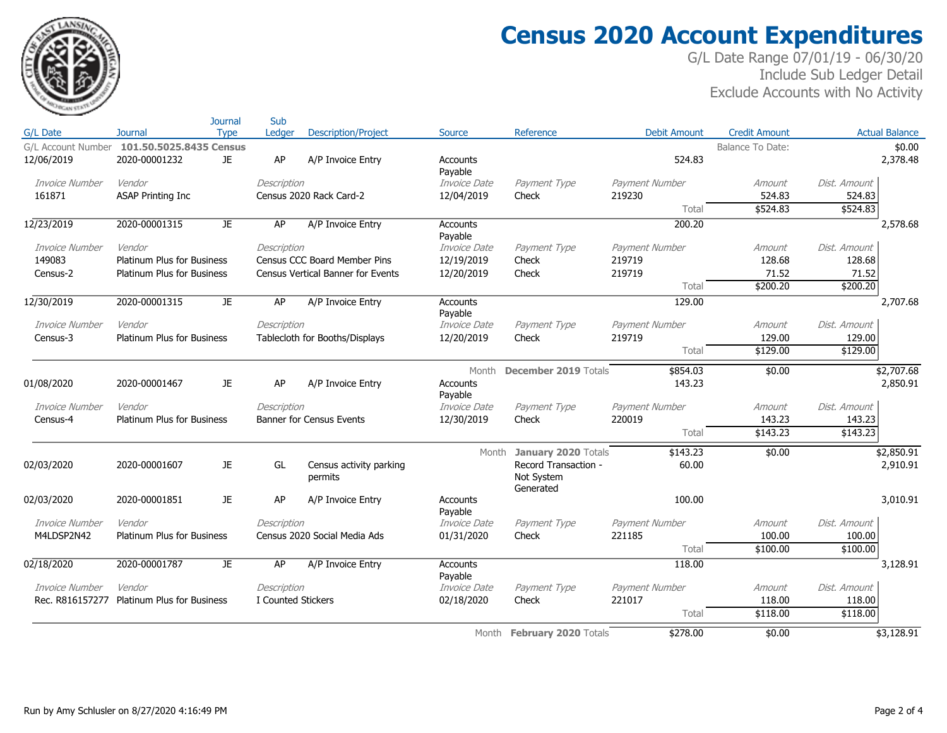

S<sub>n</sub>

## **Census 2020 Account Expenditures**

|                    |                                   | Journal     | Sub                |                                          |                     |                                                           |                     |                      |                    |                        |
|--------------------|-----------------------------------|-------------|--------------------|------------------------------------------|---------------------|-----------------------------------------------------------|---------------------|----------------------|--------------------|------------------------|
| G/L Date           | Journal                           | <b>Type</b> | Ledger             | <b>Description/Project</b>               | Source              | Reference                                                 | <b>Debit Amount</b> | <b>Credit Amount</b> |                    | <b>Actual Balance</b>  |
| G/L Account Number | 101.50.5025.8435 Census           |             |                    |                                          |                     |                                                           |                     | Balance To Date:     |                    | \$0.00                 |
| 12/06/2019         | 2020-00001232                     | JE.         | AP                 | A/P Invoice Entry                        | Accounts<br>Payable |                                                           | 524.83              |                      |                    | 2,378.48               |
| Invoice Number     | Vendor                            |             | Description        |                                          | Invoice Date        | Payment Type                                              | Payment Number      | Amount               | Dist. Amount       |                        |
| 161871             | <b>ASAP Printing Inc</b>          |             |                    | Census 2020 Rack Card-2                  | 12/04/2019          | Check                                                     | 219230              | 524.83               | 524.83             |                        |
|                    |                                   |             |                    |                                          |                     |                                                           | Total               | \$524.83             | \$524.83           |                        |
| 12/23/2019         | 2020-00001315                     | JE.         | AP                 | A/P Invoice Entry                        | Accounts<br>Payable |                                                           | 200.20              |                      |                    | 2,578.68               |
| Invoice Number     | Vendor                            |             | Description        |                                          | Invoice Date        | Payment Type                                              | Payment Number      | Amount               | Dist, Amount       |                        |
| 149083             | <b>Platinum Plus for Business</b> |             |                    | Census CCC Board Member Pins             | 12/19/2019          | Check                                                     | 219719              | 128.68               | 128.68             |                        |
| Census-2           | <b>Platinum Plus for Business</b> |             |                    | <b>Census Vertical Banner for Events</b> | 12/20/2019          | Check                                                     | 219719              | 71.52                | 71.52              |                        |
|                    |                                   |             |                    |                                          |                     |                                                           | Total               | \$200.20             | \$200.20           |                        |
| 12/30/2019         | 2020-00001315                     | JE.         | AP                 | A/P Invoice Entry                        | Accounts<br>Payable |                                                           | 129.00              |                      |                    | 2,707.68               |
| Invoice Number     | Vendor                            |             | Description        |                                          | Invoice Date        | Payment Type                                              | Payment Number      | Amount               | Dist. Amount       |                        |
| Census-3           | <b>Platinum Plus for Business</b> |             |                    | Tablecloth for Booths/Displays           | 12/20/2019          | Check                                                     | 219719              | 129.00               | 129.00             |                        |
|                    |                                   |             |                    |                                          |                     |                                                           | Total               | \$129.00             | \$129.00           |                        |
|                    |                                   |             |                    |                                          | Month               | <b>December 2019 Totals</b>                               | \$854.03            | \$0.00               |                    | \$2,707.68             |
| 01/08/2020         | 2020-00001467                     | JE.         | AP                 | A/P Invoice Entry                        | Accounts<br>Payable |                                                           | 143.23              |                      |                    | 2,850.91               |
| Invoice Number     | Vendor                            |             | Description        |                                          | Invoice Date        | Payment Type                                              | Payment Number      | Amount               | Dist. Amount       |                        |
| Census-4           | Platinum Plus for Business        |             |                    | <b>Banner for Census Events</b>          | 12/30/2019          | Check                                                     | 220019              | 143.23               | 143.23             |                        |
|                    |                                   |             |                    |                                          |                     |                                                           | Total               | \$143.23             | \$143.23           |                        |
| 02/03/2020         | 2020-00001607                     | JE.         | GL                 | Census activity parking<br>permits       | Month               | January 2020 Totals<br>Record Transaction -<br>Not System | \$143.23<br>60.00   | \$0.00               |                    | \$2,850.91<br>2,910.91 |
|                    |                                   |             |                    |                                          |                     | Generated                                                 |                     |                      |                    |                        |
| 02/03/2020         | 2020-00001851                     | JE.         | AP                 | A/P Invoice Entry                        | Accounts<br>Payable |                                                           | 100.00              |                      |                    | 3,010.91               |
| Invoice Number     | Vendor                            |             | Description        |                                          | Invoice Date        | Payment Type                                              | Payment Number      | Amount               | Dist. Amount       |                        |
| M4LDSP2N42         | <b>Platinum Plus for Business</b> |             |                    | Census 2020 Social Media Ads             | 01/31/2020          | Check                                                     | 221185<br>Total     | 100.00<br>\$100.00   | 100.00<br>\$100.00 |                        |
|                    |                                   |             |                    |                                          |                     |                                                           |                     |                      |                    |                        |
| 02/18/2020         | 2020-00001787                     | JE          | <b>AP</b>          | A/P Invoice Entry                        | Accounts<br>Payable |                                                           | 118.00              |                      |                    | 3,128.91               |
| Invoice Number     | Vendor                            |             | Description        |                                          | <i>Invoice Date</i> | Payment Type                                              | Payment Number      | Amount               | Dist. Amount       |                        |
| Rec. R816157277    | <b>Platinum Plus for Business</b> |             | I Counted Stickers |                                          | 02/18/2020          | Check                                                     | 221017              | 118.00               | 118.00             |                        |
|                    |                                   |             |                    |                                          |                     |                                                           | Total               | \$118.00             | \$118.00           |                        |
|                    |                                   |             |                    |                                          |                     | Month February 2020 Totals                                | \$278.00            | \$0.00               |                    | \$3,128.91             |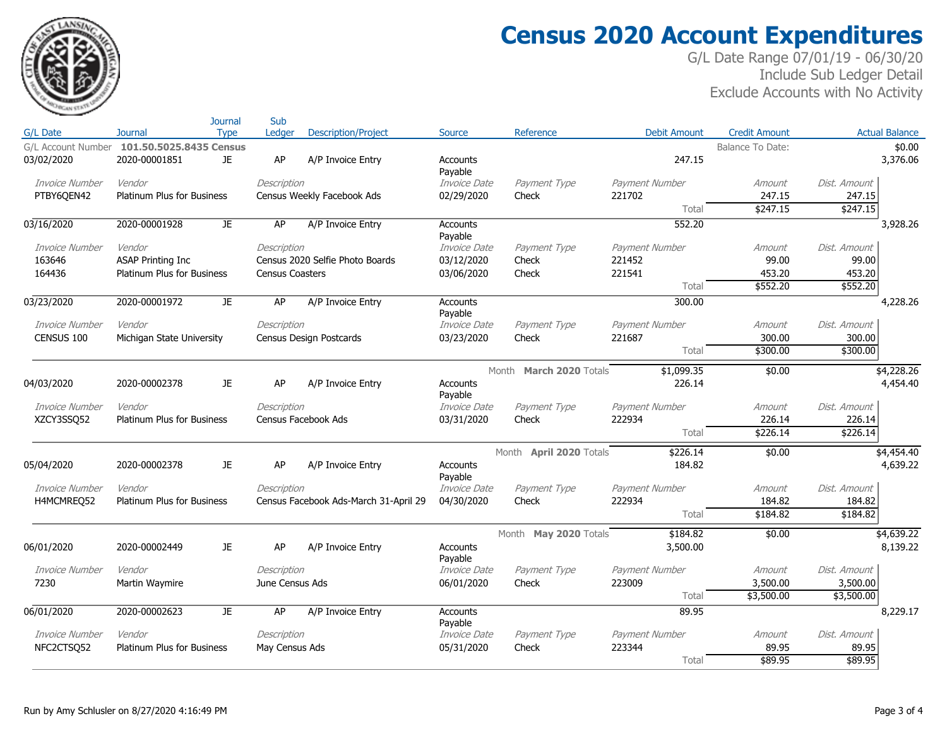

## **Census 2020 Account Expenditures**

| <b>Actual Balance</b><br>G/L Date<br><b>Type</b><br>Ledger<br>Reference<br><b>Debit Amount</b><br><b>Credit Amount</b><br><b>Journal</b><br>Source<br>G/L Account Number 101.50.5025.8435 Census<br>\$0.00<br><b>Balance To Date:</b><br>JE.<br>AP<br>247.15<br>3,376.06<br>03/02/2020<br>2020-00001851<br>A/P Invoice Entry<br>Accounts<br>Payable<br>Invoice Number<br>Vendor<br>Invoice Date<br>Payment Number<br>Description<br>Payment Type<br>Amount<br>Dist, Amount<br>PTBY6QEN42<br><b>Platinum Plus for Business</b><br>Census Weekly Facebook Ads<br>02/29/2020<br>221702<br>247.15<br>247.15<br>Check<br>\$247.15<br>\$247.15<br>Total<br>552.20<br>03/16/2020<br>2020-00001928<br><b>JE</b><br>AP<br>A/P Invoice Entry<br>3,928.26<br>Accounts<br>Payable<br>Vendor<br>Invoice Number<br>Description<br>Invoice Date<br>Payment Type<br>Payment Number<br>Dist, Amount<br>Amount<br>Census 2020 Selfie Photo Boards<br>99.00<br>99.00<br>163646<br><b>ASAP Printing Inc</b><br>03/12/2020<br>221452<br>Check<br>164436<br>221541<br>453.20<br>453.20<br><b>Platinum Plus for Business</b><br><b>Census Coasters</b><br>03/06/2020<br>Check<br>\$552.20<br>Total<br>\$552.20<br>JE<br><b>AP</b><br>300.00<br>2020-00001972<br>A/P Invoice Entry<br>4,228.26<br><b>Accounts</b><br>Payable<br>Invoice Date<br>Payment Number<br>Invoice Number<br>Vendor<br>Description<br>Payment Type<br>Dist. Amount<br>Amount<br>CENSUS 100<br>03/23/2020<br>300.00<br>Michigan State University<br>Census Design Postcards<br>Check<br>221687<br>300.00<br>\$300.00<br>\$300.00<br>Total<br>\$1,099.35<br>\$4,228.26<br>Month March 2020 Totals<br>\$0.00<br>226.14<br>4,454.40<br>04/03/2020<br>2020-00002378<br>JE.<br>AP<br>A/P Invoice Entry<br>Accounts<br>Payable<br>Vendor<br>Payment Type<br>Payment Number<br>Dist, Amount<br>Invoice Number<br>Description<br><i>Invoice Date</i><br>Amount<br>222934<br>226.14<br>226.14<br>XZCY3SSO52<br><b>Platinum Plus for Business</b><br>Census Facebook Ads<br>03/31/2020<br>Check<br>\$226.14<br>\$226.14<br>Total<br>\$226.14<br>\$4,454.40<br>Month April 2020 Totals<br>\$0.00<br>2020-00002378<br>JE.<br>AP<br>Accounts<br>184.82<br>4,639.22<br>A/P Invoice Entry<br>Payable<br>Invoice Date<br>Dist, Amount<br>Invoice Number<br>Vendor<br>Description<br>Payment Type<br>Payment Number<br>Amount<br>184.82<br>184.82<br>H4MCMREQ52<br>Platinum Plus for Business<br>Census Facebook Ads-March 31-April 29<br>04/30/2020<br>Check<br>222934<br>\$184.82<br>\$184.82<br>Total<br>\$4,639.22<br>Month May 2020 Totals<br>\$184.82<br>\$0.00<br>AP<br>06/01/2020<br>2020-00002449<br>JE.<br>A/P Invoice Entry<br><b>Accounts</b><br>3,500.00<br>8,139.22<br>Payable<br>Invoice Number<br>Vendor<br>Invoice Date<br>Payment Type<br>Payment Number<br>Dist. Amount<br>Description<br>Amount<br>7230<br>Martin Waymire<br>June Census Ads<br>06/01/2020<br>223009<br>3,500.00<br>3,500.00<br>Check<br>\$3,500.00<br>\$3,500.00<br>Total<br>06/01/2020<br>2020-00002623<br>AP<br>89.95<br>8,229.17<br>JE<br>A/P Invoice Entry<br><b>Accounts</b><br>Payable<br>Invoice Number<br>Vendor<br>Invoice Date<br>Payment Type<br>Payment Number<br>Dist. Amount<br>Description<br>Amount<br>223344<br>89.95<br>NFC2CTSQ52<br>Platinum Plus for Business<br>May Census Ads<br>05/31/2020<br>Check<br>89.95<br>\$89.95<br>\$89.95<br>Total |            | Journal | Sub |                            |  |  |  |
|---------------------------------------------------------------------------------------------------------------------------------------------------------------------------------------------------------------------------------------------------------------------------------------------------------------------------------------------------------------------------------------------------------------------------------------------------------------------------------------------------------------------------------------------------------------------------------------------------------------------------------------------------------------------------------------------------------------------------------------------------------------------------------------------------------------------------------------------------------------------------------------------------------------------------------------------------------------------------------------------------------------------------------------------------------------------------------------------------------------------------------------------------------------------------------------------------------------------------------------------------------------------------------------------------------------------------------------------------------------------------------------------------------------------------------------------------------------------------------------------------------------------------------------------------------------------------------------------------------------------------------------------------------------------------------------------------------------------------------------------------------------------------------------------------------------------------------------------------------------------------------------------------------------------------------------------------------------------------------------------------------------------------------------------------------------------------------------------------------------------------------------------------------------------------------------------------------------------------------------------------------------------------------------------------------------------------------------------------------------------------------------------------------------------------------------------------------------------------------------------------------------------------------------------------------------------------------------------------------------------------------------------------------------------------------------------------------------------------------------------------------------------------------------------------------------------------------------------------------------------------------------------------------------------------------------------------------------------------------------------------------------------------------------------------------------------------------------------------------------------------------------------------------------------------------------------------------------------------------------------------------------------------------------------------------------------------------------------------------------------------------------|------------|---------|-----|----------------------------|--|--|--|
|                                                                                                                                                                                                                                                                                                                                                                                                                                                                                                                                                                                                                                                                                                                                                                                                                                                                                                                                                                                                                                                                                                                                                                                                                                                                                                                                                                                                                                                                                                                                                                                                                                                                                                                                                                                                                                                                                                                                                                                                                                                                                                                                                                                                                                                                                                                                                                                                                                                                                                                                                                                                                                                                                                                                                                                                                                                                                                                                                                                                                                                                                                                                                                                                                                                                                                                                                                                       |            |         |     | <b>Description/Project</b> |  |  |  |
|                                                                                                                                                                                                                                                                                                                                                                                                                                                                                                                                                                                                                                                                                                                                                                                                                                                                                                                                                                                                                                                                                                                                                                                                                                                                                                                                                                                                                                                                                                                                                                                                                                                                                                                                                                                                                                                                                                                                                                                                                                                                                                                                                                                                                                                                                                                                                                                                                                                                                                                                                                                                                                                                                                                                                                                                                                                                                                                                                                                                                                                                                                                                                                                                                                                                                                                                                                                       |            |         |     |                            |  |  |  |
|                                                                                                                                                                                                                                                                                                                                                                                                                                                                                                                                                                                                                                                                                                                                                                                                                                                                                                                                                                                                                                                                                                                                                                                                                                                                                                                                                                                                                                                                                                                                                                                                                                                                                                                                                                                                                                                                                                                                                                                                                                                                                                                                                                                                                                                                                                                                                                                                                                                                                                                                                                                                                                                                                                                                                                                                                                                                                                                                                                                                                                                                                                                                                                                                                                                                                                                                                                                       |            |         |     |                            |  |  |  |
|                                                                                                                                                                                                                                                                                                                                                                                                                                                                                                                                                                                                                                                                                                                                                                                                                                                                                                                                                                                                                                                                                                                                                                                                                                                                                                                                                                                                                                                                                                                                                                                                                                                                                                                                                                                                                                                                                                                                                                                                                                                                                                                                                                                                                                                                                                                                                                                                                                                                                                                                                                                                                                                                                                                                                                                                                                                                                                                                                                                                                                                                                                                                                                                                                                                                                                                                                                                       |            |         |     |                            |  |  |  |
|                                                                                                                                                                                                                                                                                                                                                                                                                                                                                                                                                                                                                                                                                                                                                                                                                                                                                                                                                                                                                                                                                                                                                                                                                                                                                                                                                                                                                                                                                                                                                                                                                                                                                                                                                                                                                                                                                                                                                                                                                                                                                                                                                                                                                                                                                                                                                                                                                                                                                                                                                                                                                                                                                                                                                                                                                                                                                                                                                                                                                                                                                                                                                                                                                                                                                                                                                                                       |            |         |     |                            |  |  |  |
|                                                                                                                                                                                                                                                                                                                                                                                                                                                                                                                                                                                                                                                                                                                                                                                                                                                                                                                                                                                                                                                                                                                                                                                                                                                                                                                                                                                                                                                                                                                                                                                                                                                                                                                                                                                                                                                                                                                                                                                                                                                                                                                                                                                                                                                                                                                                                                                                                                                                                                                                                                                                                                                                                                                                                                                                                                                                                                                                                                                                                                                                                                                                                                                                                                                                                                                                                                                       |            |         |     |                            |  |  |  |
|                                                                                                                                                                                                                                                                                                                                                                                                                                                                                                                                                                                                                                                                                                                                                                                                                                                                                                                                                                                                                                                                                                                                                                                                                                                                                                                                                                                                                                                                                                                                                                                                                                                                                                                                                                                                                                                                                                                                                                                                                                                                                                                                                                                                                                                                                                                                                                                                                                                                                                                                                                                                                                                                                                                                                                                                                                                                                                                                                                                                                                                                                                                                                                                                                                                                                                                                                                                       |            |         |     |                            |  |  |  |
|                                                                                                                                                                                                                                                                                                                                                                                                                                                                                                                                                                                                                                                                                                                                                                                                                                                                                                                                                                                                                                                                                                                                                                                                                                                                                                                                                                                                                                                                                                                                                                                                                                                                                                                                                                                                                                                                                                                                                                                                                                                                                                                                                                                                                                                                                                                                                                                                                                                                                                                                                                                                                                                                                                                                                                                                                                                                                                                                                                                                                                                                                                                                                                                                                                                                                                                                                                                       |            |         |     |                            |  |  |  |
|                                                                                                                                                                                                                                                                                                                                                                                                                                                                                                                                                                                                                                                                                                                                                                                                                                                                                                                                                                                                                                                                                                                                                                                                                                                                                                                                                                                                                                                                                                                                                                                                                                                                                                                                                                                                                                                                                                                                                                                                                                                                                                                                                                                                                                                                                                                                                                                                                                                                                                                                                                                                                                                                                                                                                                                                                                                                                                                                                                                                                                                                                                                                                                                                                                                                                                                                                                                       |            |         |     |                            |  |  |  |
|                                                                                                                                                                                                                                                                                                                                                                                                                                                                                                                                                                                                                                                                                                                                                                                                                                                                                                                                                                                                                                                                                                                                                                                                                                                                                                                                                                                                                                                                                                                                                                                                                                                                                                                                                                                                                                                                                                                                                                                                                                                                                                                                                                                                                                                                                                                                                                                                                                                                                                                                                                                                                                                                                                                                                                                                                                                                                                                                                                                                                                                                                                                                                                                                                                                                                                                                                                                       |            |         |     |                            |  |  |  |
|                                                                                                                                                                                                                                                                                                                                                                                                                                                                                                                                                                                                                                                                                                                                                                                                                                                                                                                                                                                                                                                                                                                                                                                                                                                                                                                                                                                                                                                                                                                                                                                                                                                                                                                                                                                                                                                                                                                                                                                                                                                                                                                                                                                                                                                                                                                                                                                                                                                                                                                                                                                                                                                                                                                                                                                                                                                                                                                                                                                                                                                                                                                                                                                                                                                                                                                                                                                       |            |         |     |                            |  |  |  |
|                                                                                                                                                                                                                                                                                                                                                                                                                                                                                                                                                                                                                                                                                                                                                                                                                                                                                                                                                                                                                                                                                                                                                                                                                                                                                                                                                                                                                                                                                                                                                                                                                                                                                                                                                                                                                                                                                                                                                                                                                                                                                                                                                                                                                                                                                                                                                                                                                                                                                                                                                                                                                                                                                                                                                                                                                                                                                                                                                                                                                                                                                                                                                                                                                                                                                                                                                                                       |            |         |     |                            |  |  |  |
|                                                                                                                                                                                                                                                                                                                                                                                                                                                                                                                                                                                                                                                                                                                                                                                                                                                                                                                                                                                                                                                                                                                                                                                                                                                                                                                                                                                                                                                                                                                                                                                                                                                                                                                                                                                                                                                                                                                                                                                                                                                                                                                                                                                                                                                                                                                                                                                                                                                                                                                                                                                                                                                                                                                                                                                                                                                                                                                                                                                                                                                                                                                                                                                                                                                                                                                                                                                       | 03/23/2020 |         |     |                            |  |  |  |
|                                                                                                                                                                                                                                                                                                                                                                                                                                                                                                                                                                                                                                                                                                                                                                                                                                                                                                                                                                                                                                                                                                                                                                                                                                                                                                                                                                                                                                                                                                                                                                                                                                                                                                                                                                                                                                                                                                                                                                                                                                                                                                                                                                                                                                                                                                                                                                                                                                                                                                                                                                                                                                                                                                                                                                                                                                                                                                                                                                                                                                                                                                                                                                                                                                                                                                                                                                                       |            |         |     |                            |  |  |  |
|                                                                                                                                                                                                                                                                                                                                                                                                                                                                                                                                                                                                                                                                                                                                                                                                                                                                                                                                                                                                                                                                                                                                                                                                                                                                                                                                                                                                                                                                                                                                                                                                                                                                                                                                                                                                                                                                                                                                                                                                                                                                                                                                                                                                                                                                                                                                                                                                                                                                                                                                                                                                                                                                                                                                                                                                                                                                                                                                                                                                                                                                                                                                                                                                                                                                                                                                                                                       |            |         |     |                            |  |  |  |
|                                                                                                                                                                                                                                                                                                                                                                                                                                                                                                                                                                                                                                                                                                                                                                                                                                                                                                                                                                                                                                                                                                                                                                                                                                                                                                                                                                                                                                                                                                                                                                                                                                                                                                                                                                                                                                                                                                                                                                                                                                                                                                                                                                                                                                                                                                                                                                                                                                                                                                                                                                                                                                                                                                                                                                                                                                                                                                                                                                                                                                                                                                                                                                                                                                                                                                                                                                                       |            |         |     |                            |  |  |  |
|                                                                                                                                                                                                                                                                                                                                                                                                                                                                                                                                                                                                                                                                                                                                                                                                                                                                                                                                                                                                                                                                                                                                                                                                                                                                                                                                                                                                                                                                                                                                                                                                                                                                                                                                                                                                                                                                                                                                                                                                                                                                                                                                                                                                                                                                                                                                                                                                                                                                                                                                                                                                                                                                                                                                                                                                                                                                                                                                                                                                                                                                                                                                                                                                                                                                                                                                                                                       |            |         |     |                            |  |  |  |
|                                                                                                                                                                                                                                                                                                                                                                                                                                                                                                                                                                                                                                                                                                                                                                                                                                                                                                                                                                                                                                                                                                                                                                                                                                                                                                                                                                                                                                                                                                                                                                                                                                                                                                                                                                                                                                                                                                                                                                                                                                                                                                                                                                                                                                                                                                                                                                                                                                                                                                                                                                                                                                                                                                                                                                                                                                                                                                                                                                                                                                                                                                                                                                                                                                                                                                                                                                                       |            |         |     |                            |  |  |  |
|                                                                                                                                                                                                                                                                                                                                                                                                                                                                                                                                                                                                                                                                                                                                                                                                                                                                                                                                                                                                                                                                                                                                                                                                                                                                                                                                                                                                                                                                                                                                                                                                                                                                                                                                                                                                                                                                                                                                                                                                                                                                                                                                                                                                                                                                                                                                                                                                                                                                                                                                                                                                                                                                                                                                                                                                                                                                                                                                                                                                                                                                                                                                                                                                                                                                                                                                                                                       |            |         |     |                            |  |  |  |
|                                                                                                                                                                                                                                                                                                                                                                                                                                                                                                                                                                                                                                                                                                                                                                                                                                                                                                                                                                                                                                                                                                                                                                                                                                                                                                                                                                                                                                                                                                                                                                                                                                                                                                                                                                                                                                                                                                                                                                                                                                                                                                                                                                                                                                                                                                                                                                                                                                                                                                                                                                                                                                                                                                                                                                                                                                                                                                                                                                                                                                                                                                                                                                                                                                                                                                                                                                                       |            |         |     |                            |  |  |  |
|                                                                                                                                                                                                                                                                                                                                                                                                                                                                                                                                                                                                                                                                                                                                                                                                                                                                                                                                                                                                                                                                                                                                                                                                                                                                                                                                                                                                                                                                                                                                                                                                                                                                                                                                                                                                                                                                                                                                                                                                                                                                                                                                                                                                                                                                                                                                                                                                                                                                                                                                                                                                                                                                                                                                                                                                                                                                                                                                                                                                                                                                                                                                                                                                                                                                                                                                                                                       |            |         |     |                            |  |  |  |
|                                                                                                                                                                                                                                                                                                                                                                                                                                                                                                                                                                                                                                                                                                                                                                                                                                                                                                                                                                                                                                                                                                                                                                                                                                                                                                                                                                                                                                                                                                                                                                                                                                                                                                                                                                                                                                                                                                                                                                                                                                                                                                                                                                                                                                                                                                                                                                                                                                                                                                                                                                                                                                                                                                                                                                                                                                                                                                                                                                                                                                                                                                                                                                                                                                                                                                                                                                                       |            |         |     |                            |  |  |  |
|                                                                                                                                                                                                                                                                                                                                                                                                                                                                                                                                                                                                                                                                                                                                                                                                                                                                                                                                                                                                                                                                                                                                                                                                                                                                                                                                                                                                                                                                                                                                                                                                                                                                                                                                                                                                                                                                                                                                                                                                                                                                                                                                                                                                                                                                                                                                                                                                                                                                                                                                                                                                                                                                                                                                                                                                                                                                                                                                                                                                                                                                                                                                                                                                                                                                                                                                                                                       |            |         |     |                            |  |  |  |
|                                                                                                                                                                                                                                                                                                                                                                                                                                                                                                                                                                                                                                                                                                                                                                                                                                                                                                                                                                                                                                                                                                                                                                                                                                                                                                                                                                                                                                                                                                                                                                                                                                                                                                                                                                                                                                                                                                                                                                                                                                                                                                                                                                                                                                                                                                                                                                                                                                                                                                                                                                                                                                                                                                                                                                                                                                                                                                                                                                                                                                                                                                                                                                                                                                                                                                                                                                                       | 05/04/2020 |         |     |                            |  |  |  |
|                                                                                                                                                                                                                                                                                                                                                                                                                                                                                                                                                                                                                                                                                                                                                                                                                                                                                                                                                                                                                                                                                                                                                                                                                                                                                                                                                                                                                                                                                                                                                                                                                                                                                                                                                                                                                                                                                                                                                                                                                                                                                                                                                                                                                                                                                                                                                                                                                                                                                                                                                                                                                                                                                                                                                                                                                                                                                                                                                                                                                                                                                                                                                                                                                                                                                                                                                                                       |            |         |     |                            |  |  |  |
|                                                                                                                                                                                                                                                                                                                                                                                                                                                                                                                                                                                                                                                                                                                                                                                                                                                                                                                                                                                                                                                                                                                                                                                                                                                                                                                                                                                                                                                                                                                                                                                                                                                                                                                                                                                                                                                                                                                                                                                                                                                                                                                                                                                                                                                                                                                                                                                                                                                                                                                                                                                                                                                                                                                                                                                                                                                                                                                                                                                                                                                                                                                                                                                                                                                                                                                                                                                       |            |         |     |                            |  |  |  |
|                                                                                                                                                                                                                                                                                                                                                                                                                                                                                                                                                                                                                                                                                                                                                                                                                                                                                                                                                                                                                                                                                                                                                                                                                                                                                                                                                                                                                                                                                                                                                                                                                                                                                                                                                                                                                                                                                                                                                                                                                                                                                                                                                                                                                                                                                                                                                                                                                                                                                                                                                                                                                                                                                                                                                                                                                                                                                                                                                                                                                                                                                                                                                                                                                                                                                                                                                                                       |            |         |     |                            |  |  |  |
|                                                                                                                                                                                                                                                                                                                                                                                                                                                                                                                                                                                                                                                                                                                                                                                                                                                                                                                                                                                                                                                                                                                                                                                                                                                                                                                                                                                                                                                                                                                                                                                                                                                                                                                                                                                                                                                                                                                                                                                                                                                                                                                                                                                                                                                                                                                                                                                                                                                                                                                                                                                                                                                                                                                                                                                                                                                                                                                                                                                                                                                                                                                                                                                                                                                                                                                                                                                       |            |         |     |                            |  |  |  |
|                                                                                                                                                                                                                                                                                                                                                                                                                                                                                                                                                                                                                                                                                                                                                                                                                                                                                                                                                                                                                                                                                                                                                                                                                                                                                                                                                                                                                                                                                                                                                                                                                                                                                                                                                                                                                                                                                                                                                                                                                                                                                                                                                                                                                                                                                                                                                                                                                                                                                                                                                                                                                                                                                                                                                                                                                                                                                                                                                                                                                                                                                                                                                                                                                                                                                                                                                                                       |            |         |     |                            |  |  |  |
|                                                                                                                                                                                                                                                                                                                                                                                                                                                                                                                                                                                                                                                                                                                                                                                                                                                                                                                                                                                                                                                                                                                                                                                                                                                                                                                                                                                                                                                                                                                                                                                                                                                                                                                                                                                                                                                                                                                                                                                                                                                                                                                                                                                                                                                                                                                                                                                                                                                                                                                                                                                                                                                                                                                                                                                                                                                                                                                                                                                                                                                                                                                                                                                                                                                                                                                                                                                       |            |         |     |                            |  |  |  |
|                                                                                                                                                                                                                                                                                                                                                                                                                                                                                                                                                                                                                                                                                                                                                                                                                                                                                                                                                                                                                                                                                                                                                                                                                                                                                                                                                                                                                                                                                                                                                                                                                                                                                                                                                                                                                                                                                                                                                                                                                                                                                                                                                                                                                                                                                                                                                                                                                                                                                                                                                                                                                                                                                                                                                                                                                                                                                                                                                                                                                                                                                                                                                                                                                                                                                                                                                                                       |            |         |     |                            |  |  |  |
|                                                                                                                                                                                                                                                                                                                                                                                                                                                                                                                                                                                                                                                                                                                                                                                                                                                                                                                                                                                                                                                                                                                                                                                                                                                                                                                                                                                                                                                                                                                                                                                                                                                                                                                                                                                                                                                                                                                                                                                                                                                                                                                                                                                                                                                                                                                                                                                                                                                                                                                                                                                                                                                                                                                                                                                                                                                                                                                                                                                                                                                                                                                                                                                                                                                                                                                                                                                       |            |         |     |                            |  |  |  |
|                                                                                                                                                                                                                                                                                                                                                                                                                                                                                                                                                                                                                                                                                                                                                                                                                                                                                                                                                                                                                                                                                                                                                                                                                                                                                                                                                                                                                                                                                                                                                                                                                                                                                                                                                                                                                                                                                                                                                                                                                                                                                                                                                                                                                                                                                                                                                                                                                                                                                                                                                                                                                                                                                                                                                                                                                                                                                                                                                                                                                                                                                                                                                                                                                                                                                                                                                                                       |            |         |     |                            |  |  |  |
|                                                                                                                                                                                                                                                                                                                                                                                                                                                                                                                                                                                                                                                                                                                                                                                                                                                                                                                                                                                                                                                                                                                                                                                                                                                                                                                                                                                                                                                                                                                                                                                                                                                                                                                                                                                                                                                                                                                                                                                                                                                                                                                                                                                                                                                                                                                                                                                                                                                                                                                                                                                                                                                                                                                                                                                                                                                                                                                                                                                                                                                                                                                                                                                                                                                                                                                                                                                       |            |         |     |                            |  |  |  |
|                                                                                                                                                                                                                                                                                                                                                                                                                                                                                                                                                                                                                                                                                                                                                                                                                                                                                                                                                                                                                                                                                                                                                                                                                                                                                                                                                                                                                                                                                                                                                                                                                                                                                                                                                                                                                                                                                                                                                                                                                                                                                                                                                                                                                                                                                                                                                                                                                                                                                                                                                                                                                                                                                                                                                                                                                                                                                                                                                                                                                                                                                                                                                                                                                                                                                                                                                                                       |            |         |     |                            |  |  |  |
|                                                                                                                                                                                                                                                                                                                                                                                                                                                                                                                                                                                                                                                                                                                                                                                                                                                                                                                                                                                                                                                                                                                                                                                                                                                                                                                                                                                                                                                                                                                                                                                                                                                                                                                                                                                                                                                                                                                                                                                                                                                                                                                                                                                                                                                                                                                                                                                                                                                                                                                                                                                                                                                                                                                                                                                                                                                                                                                                                                                                                                                                                                                                                                                                                                                                                                                                                                                       |            |         |     |                            |  |  |  |
|                                                                                                                                                                                                                                                                                                                                                                                                                                                                                                                                                                                                                                                                                                                                                                                                                                                                                                                                                                                                                                                                                                                                                                                                                                                                                                                                                                                                                                                                                                                                                                                                                                                                                                                                                                                                                                                                                                                                                                                                                                                                                                                                                                                                                                                                                                                                                                                                                                                                                                                                                                                                                                                                                                                                                                                                                                                                                                                                                                                                                                                                                                                                                                                                                                                                                                                                                                                       |            |         |     |                            |  |  |  |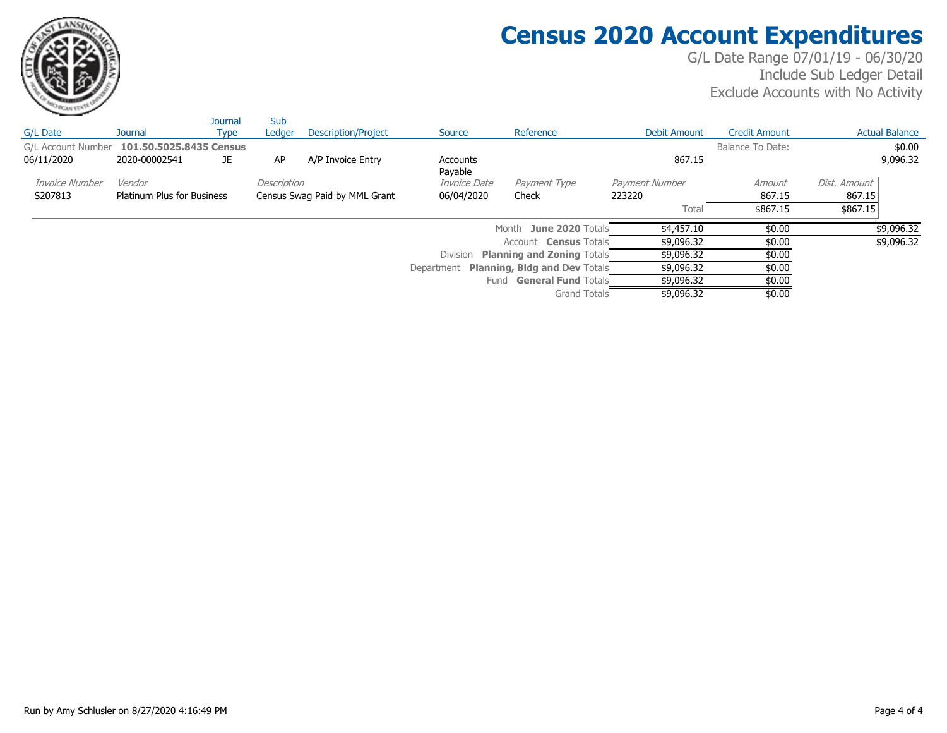

## **Census 2020 Account Expenditures**

|                    |                                   | <b>Journal</b> | Sub         |                               |                     |                                          |                |                      |              |                       |
|--------------------|-----------------------------------|----------------|-------------|-------------------------------|---------------------|------------------------------------------|----------------|----------------------|--------------|-----------------------|
| G/L Date           | <b>Journal</b>                    | Type           | Ledger      | <b>Description/Project</b>    | Source              | Reference                                | Debit Amount   | <b>Credit Amount</b> |              | <b>Actual Balance</b> |
| G/L Account Number | 101.50.5025.8435 Census           |                |             |                               |                     |                                          |                | Balance To Date:     |              | \$0.00                |
| 06/11/2020         | 2020-00002541                     | JE.            | AP          | A/P Invoice Entry             | Accounts<br>Payable |                                          | 867.15         |                      |              | 9,096.32              |
| Invoice Number     | Vendor                            |                | Description |                               | <i>Invoice Date</i> | Payment Type                             | Payment Number | Amount               | Dist, Amount |                       |
| S207813            | <b>Platinum Plus for Business</b> |                |             | Census Swag Paid by MML Grant | 06/04/2020          | Check                                    | 223220         | 867.15               | 867.15       |                       |
|                    |                                   |                |             |                               |                     |                                          | Total          | \$867.15             | \$867.15     |                       |
|                    |                                   |                |             |                               |                     | Month June 2020 Totals                   | \$4,457.10     | \$0.00               |              | \$9,096.32            |
|                    |                                   |                |             |                               |                     | Account <b>Census</b> Totals             | \$9,096.32     | \$0.00               |              | \$9,096.32            |
|                    |                                   |                |             |                               | <b>Division</b>     | <b>Planning and Zoning Totals</b>        | \$9,096.32     | \$0.00               |              |                       |
|                    |                                   |                |             |                               |                     | Department Planning, Bldg and Dev Totals | \$9,096.32     | \$0.00               |              |                       |
|                    |                                   |                |             |                               |                     | Fund <b>General Fund</b> Totals          | \$9,096.32     | \$0.00               |              |                       |
|                    |                                   |                |             |                               |                     | <b>Grand Totals</b>                      | \$9,096.32     | \$0.00               |              |                       |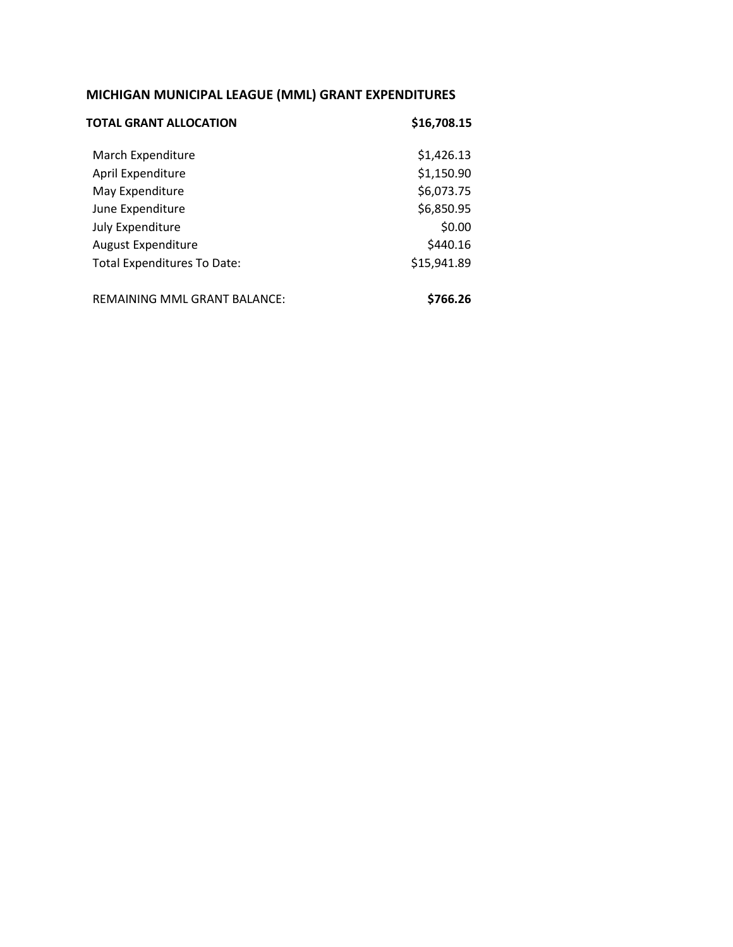### **MICHIGAN MUNICIPAL LEAGUE (MML) GRANT EXPENDITURES**

| TOTAL GRANT ALLOCATION              | \$16,708.15 |
|-------------------------------------|-------------|
| March Expenditure                   | \$1,426.13  |
| April Expenditure                   | \$1,150.90  |
| May Expenditure                     | \$6,073.75  |
| June Expenditure                    | \$6,850.95  |
| July Expenditure                    | \$0.00      |
| <b>August Expenditure</b>           | \$440.16    |
| Total Expenditures To Date:         | \$15,941.89 |
| <b>REMAINING MML GRANT BALANCE:</b> | \$766.26    |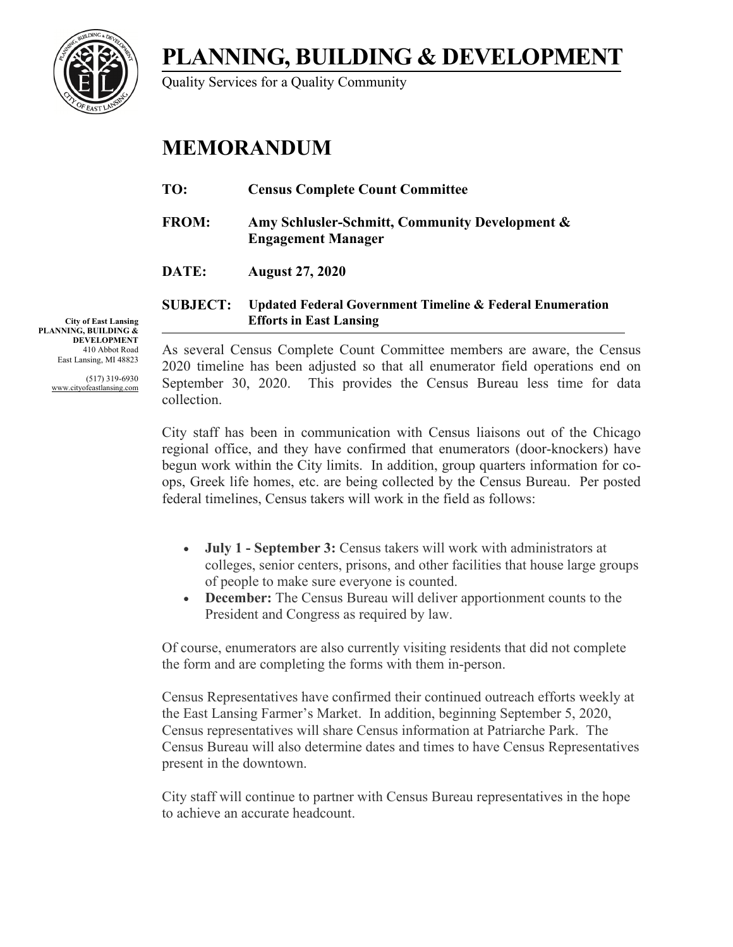**PLANNING, BUILDING & DEVELOPMENT**

Quality Services for a Quality Community

## **MEMORANDUM**

| TO:             | <b>Census Complete Count Committee</b>                                                                 |
|-----------------|--------------------------------------------------------------------------------------------------------|
| <b>FROM:</b>    | Amy Schlusler-Schmitt, Community Development &<br><b>Engagement Manager</b>                            |
| DATE:           | <b>August 27, 2020</b>                                                                                 |
| <b>SUBJECT:</b> | <b>Updated Federal Government Timeline &amp; Federal Enumeration</b><br><b>Efforts in East Lansing</b> |

**City of East Lansing PLANNING, BUILDING & DEVELOPMENT** 410 Abbot Road East Lansing, MI 48823

> (517) 319-6930 www.cityofeastlansing.com

As several Census Complete Count Committee members are aware, the Census 2020 timeline has been adjusted so that all enumerator field operations end on September 30, 2020. This provides the Census Bureau less time for data collection.

City staff has been in communication with Census liaisons out of the Chicago regional office, and they have confirmed that enumerators (door-knockers) have begun work within the City limits. In addition, group quarters information for coops, Greek life homes, etc. are being collected by the Census Bureau. Per posted federal timelines, Census takers will work in the field as follows:

- **July 1 - September 3:** Census takers will work with administrators at colleges, senior centers, prisons, and other facilities that house large groups of people to make sure everyone is counted.
- **December:** The Census Bureau will deliver apportionment counts to the President and Congress as required by law.

Of course, enumerators are also currently visiting residents that did not complete the form and are completing the forms with them in-person.

Census Representatives have confirmed their continued outreach efforts weekly at the East Lansing Farmer's Market. In addition, beginning September 5, 2020, Census representatives will share Census information at Patriarche Park. The Census Bureau will also determine dates and times to have Census Representatives present in the downtown.

City staff will continue to partner with Census Bureau representatives in the hope to achieve an accurate headcount.

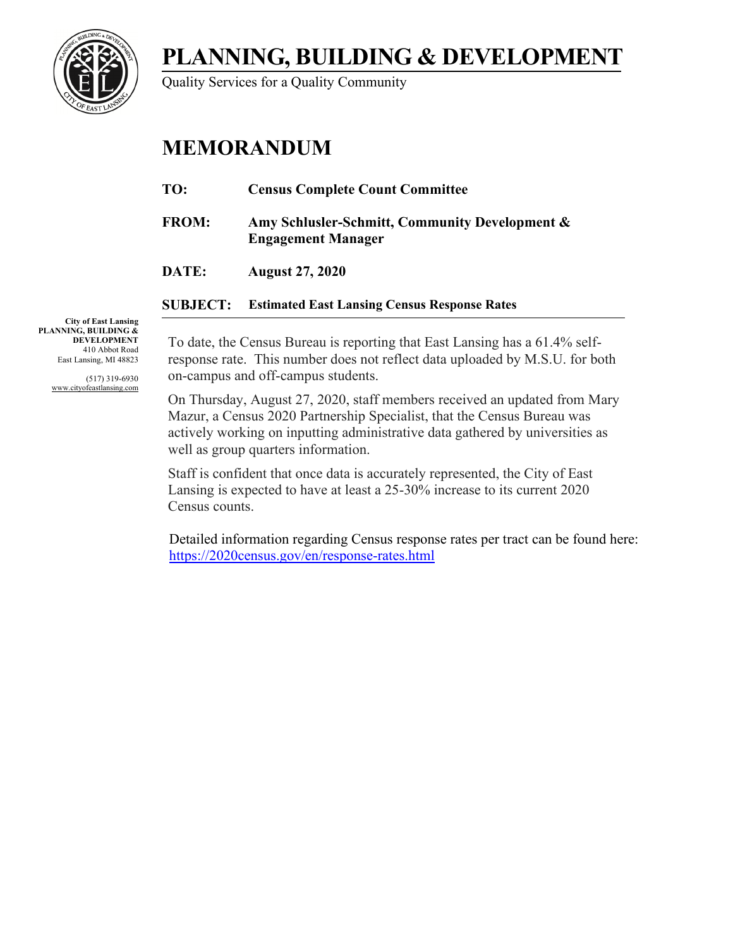

Quality Services for a Quality Community

## **MEMORANDUM**

| TO:          | <b>Census Complete Count Committee</b>                                      |
|--------------|-----------------------------------------------------------------------------|
| <b>FROM:</b> | Amy Schlusler-Schmitt, Community Development &<br><b>Engagement Manager</b> |
| DATE:        | <b>August 27, 2020</b>                                                      |
|              |                                                                             |

**SUBJECT: Estimated East Lansing Census Response Rates**

**City of East Lansing PLANNING, BUILDING & DEVELOPMENT** 410 Abbot Road East Lansing, MI 48823

> (517) 319-6930 www.cityofeastlansing.com

To date, the Census Bureau is reporting that East Lansing has a 61.4% selfresponse rate. This number does not reflect data uploaded by M.S.U. for both on-campus and off-campus students.

On Thursday, August 27, 2020, staff members received an updated from Mary Mazur, a Census 2020 Partnership Specialist, that the Census Bureau was actively working on inputting administrative data gathered by universities as well as group quarters information.

Staff is confident that once data is accurately represented, the City of East Lansing is expected to have at least a 25-30% increase to its current 2020 Census counts.

 Detailed information regarding Census response rates per tract can be found here: <https://2020census.gov/en/response-rates.html>

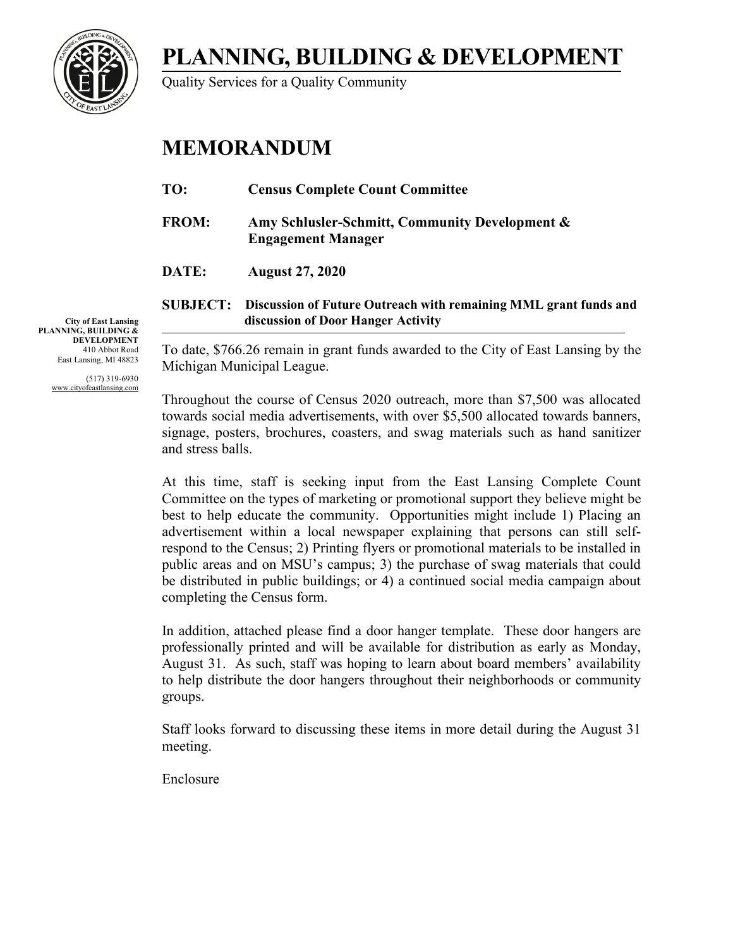**PLANNING, BUILDING & DEVELOPMENT**

Quality Services for a Quality Community

## **MEMORANDUM**

| TO:             | <b>Census Complete Count Committee</b>                                                                 |
|-----------------|--------------------------------------------------------------------------------------------------------|
| <b>FROM:</b>    | Amy Schlusler-Schmitt, Community Development &<br><b>Engagement Manager</b>                            |
| DATE:           | <b>August 27, 2020</b>                                                                                 |
| <b>SUBJECT:</b> | Discussion of Future Outreach with remaining MML grant funds and<br>discussion of Door Hanger Activity |

To date, \$766.26 remain in grant funds awarded to the City of East Lansing by the Michigan Municipal League.

Throughout the course of Census 2020 outreach, more than \$7,500 was allocated towards social media advertisements, with over \$5,500 allocated towards banners, signage, posters, brochures, coasters, and swag materials such as hand sanitizer and stress balls.

At this time, staff is seeking input from the East Lansing Complete Count Committee on the types of marketing or promotional support they believe might be best to help educate the community. Opportunities might include 1) Placing an advertisement within a local newspaper explaining that persons can still selfrespond to the Census; 2) Printing flyers or promotional materials to be installed in public areas and on MSU's campus; 3) the purchase of swag materials that could be distributed in public buildings; or 4) a continued social media campaign about completing the Census form.

In addition, attached please find a door hanger template. These door hangers are professionally printed and will be available for distribution as early as Monday, August 31. As such, staff was hoping to learn about board members' availability to help distribute the door hangers throughout their neighborhoods or community groups.

Staff looks forward to discussing these items in more detail during the August 31 meeting.

Enclosure

**City of East Lansing PLANNING, BUILDING & DEVELOPMENT** 410 Abbot Road East Lansing, MI 48823

> (517) 319-6930 www.cityofeastlansing.com